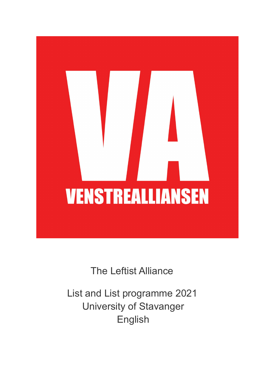# **VENSTREALLIANSEN**

The Leftist Alliance

List and List programme 2021 University of Stavanger English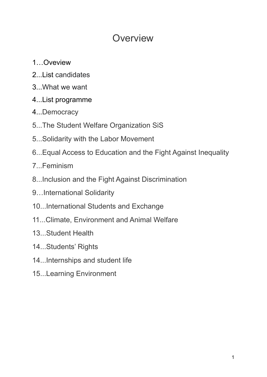# **Overview**

- 1…Oveview
- 2...List candidates
- 3...What we want
- 4...List programme
- 4...Democracy
- 5...The Student Welfare Organization SiS
- 5...Solidarity with the Labor Movement
- 6...Equal Access to Education and the Fight Against Inequality
- 7 Feminism
- 8...Inclusion and the Fight Against Discrimination
- 9…International Solidarity
- 10...International Students and Exchange
- 11...Climate, Environment and Animal Welfare
- 13...Student Health
- 14...Students' Rights
- 14...Internships and student life
- 15...Learning Environment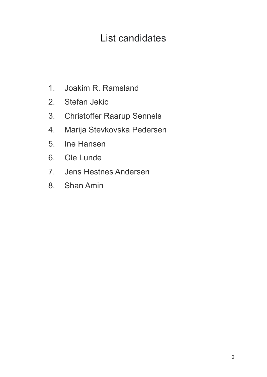# List candidates

- 1. Joakim R. Ramsland
- 2. Stefan Jekic
- 3. Christoffer Raarup Sennels
- 4. Marija Stevkovska Pedersen
- 5. Ine Hansen
- 6. Ole Lunde
- 7. Jens Hestnes Andersen
- 8. Shan Amin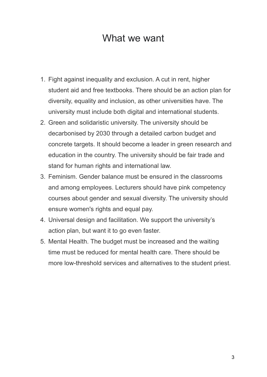## What we want

- 1. Fight against inequality and exclusion. A cut in rent, higher student aid and free textbooks. There should be an action plan for diversity, equality and inclusion, as other universities have. The university must include both digital and international students.
- 2. Green and solidaristic university. The university should be decarbonised by 2030 through a detailed carbon budget and concrete targets. It should become a leader in green research and education in the country. The university should be fair trade and stand for human rights and international law.
- 3. Feminism. Gender balance must be ensured in the classrooms and among employees. Lecturers should have pink competency courses about gender and sexual diversity. The university should ensure women's rights and equal pay.
- 4. Universal design and facilitation. We support the university's action plan, but want it to go even faster.
- 5. Mental Health. The budget must be increased and the waiting time must be reduced for mental health care. There should be more low-threshold services and alternatives to the student priest.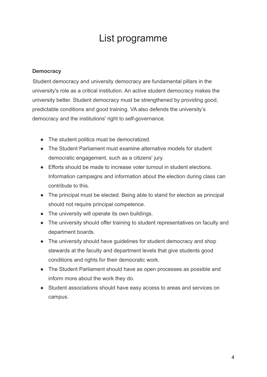# List programme

### **Democracy**

Student democracy and university democracy are fundamental pillars in the university's role as a critical institution. An active student democracy makes the university better. Student democracy must be strengthened by providing good, predictable conditions and good training. VA also defends the university's democracy and the institutions' right to self-governance.

- The student politics must be democratized.
- The Student Parliament must examine alternative models for student democratic engagement, such as a citizens' jury.
- Efforts should be made to increase voter turnout in student elections. Information campaigns and information about the election during class can contribute to this.
- The principal must be elected. Being able to stand for election as principal should not require principal competence.
- The university will operate its own buildings.
- The university should offer training to student representatives on faculty and department boards.
- The university should have guidelines for student democracy and shop stewards at the faculty and department levels that give students good conditions and rights for their democratic work.
- The Student Parliament should have as open processes as possible and inform more about the work they do.
- Student associations should have easy access to areas and services on campus.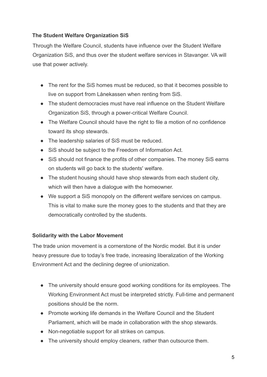### **The Student Welfare Organization SiS**

Through the Welfare Council, students have influence over the Student Welfare Organization SiS, and thus over the student welfare services in Stavanger. VA will use that power actively.

- The rent for the SiS homes must be reduced, so that it becomes possible to live on support from Lånekassen when renting from SiS.
- The student democracies must have real influence on the Student Welfare Organization SiS, through a power-critical Welfare Council.
- The Welfare Council should have the right to file a motion of no confidence toward its shop stewards.
- The leadership salaries of SiS must be reduced.
- SiS should be subject to the Freedom of Information Act.
- SiS should not finance the profits of other companies. The money SiS earns on students will go back to the students' welfare.
- The student housing should have shop stewards from each student city, which will then have a dialogue with the homeowner.
- We support a SiS monopoly on the different welfare services on campus. This is vital to make sure the money goes to the students and that they are democratically controlled by the students.

### **Solidarity with the Labor Movement**

The trade union movement is a cornerstone of the Nordic model. But it is under heavy pressure due to today's free trade, increasing liberalization of the Working Environment Act and the declining degree of unionization.

- The university should ensure good working conditions for its employees. The Working Environment Act must be interpreted strictly. Full-time and permanent positions should be the norm.
- Promote working life demands in the Welfare Council and the Student Parliament, which will be made in collaboration with the shop stewards.
- Non-negotiable support for all strikes on campus.
- The university should employ cleaners, rather than outsource them.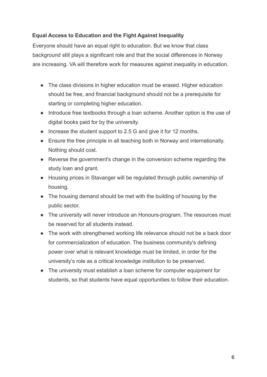### **Equal Access to Education and the Fight Against Inequality**

Everyone should have an equal right to education. But we know that class background still plays a significant role and that the social differences in Norway are increasing. VA will therefore work for measures against inequality in education.

- The class divisions in higher education must be erased. Higher education should be free, and financial background should not be a prerequisite for starting or completing higher education.
- Introduce free textbooks through a loan scheme. Another option is the use of digital books paid for by the university.
- Increase the student support to 2.5 G and give it for 12 months.
- Ensure the free principle in all teaching both in Norway and internationally. Nothing should cost.
- Reverse the government's change in the conversion scheme regarding the study loan and grant.
- Housing prices in Stavanger will be regulated through public ownership of housing.
- The housing demand should be met with the building of housing by the public sector.
- The university will never introduce an Honours-program. The resources must be reserved for all students instead.
- The work with strengthened working life relevance should not be a back door for commercialization of education. The business community's defining power over what is relevant knowledge must be limited, in order for the university's role as a critical knowledge institution to be preserved.
- The university must establish a loan scheme for computer equipment for students, so that students have equal opportunities to follow their education.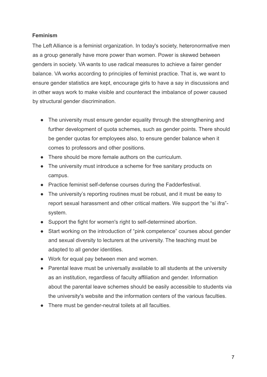### **Feminism**

The Left Alliance is a feminist organization. In today's society, heteronormative men as a group generally have more power than women. Power is skewed between genders in society. VA wants to use radical measures to achieve a fairer gender balance. VA works according to principles of feminist practice. That is, we want to ensure gender statistics are kept, encourage girls to have a say in discussions and in other ways work to make visible and counteract the imbalance of power caused by structural gender discrimination.

- The university must ensure gender equality through the strengthening and further development of quota schemes, such as gender points. There should be gender quotas for employees also, to ensure gender balance when it comes to professors and other positions.
- There should be more female authors on the curriculum.
- The university must introduce a scheme for free sanitary products on campus.
- Practice feminist self-defense courses during the Fadderfestival.
- The university's reporting routines must be robust, and it must be easy to report sexual harassment and other critical matters. We support the "si ifra" system.
- Support the fight for women's right to self-determined abortion.
- Start working on the introduction of "pink competence" courses about gender and sexual diversity to lecturers at the university. The teaching must be adapted to all gender identities.
- Work for equal pay between men and women.
- Parental leave must be universally available to all students at the university as an institution, regardless of faculty affiliation and gender. Information about the parental leave schemes should be easily accessible to students via the university's website and the information centers of the various faculties.
- There must be gender-neutral toilets at all faculties.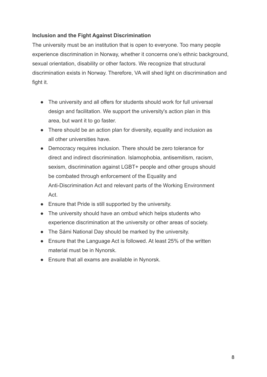### **Inclusion and the Fight Against Discrimination**

The university must be an institution that is open to everyone. Too many people experience discrimination in Norway, whether it concerns one's ethnic background, sexual orientation, disability or other factors. We recognize that structural discrimination exists in Norway. Therefore, VA will shed light on discrimination and fight it.

- The university and all offers for students should work for full universal design and facilitation. We support the university's action plan in this area, but want it to go faster.
- There should be an action plan for diversity, equality and inclusion as all other universities have.
- Democracy requires inclusion. There should be zero tolerance for direct and indirect discrimination. Islamophobia, antisemitism, racism, sexism, discrimination against LGBT+ people and other groups should be combated through enforcement of the Equality and Anti-Discrimination Act and relevant parts of the Working Environment Act.
- Ensure that Pride is still supported by the university.
- The university should have an ombud which helps students who experience discrimination at the university or other areas of society.
- The Sámi National Day should be marked by the university.
- Ensure that the Language Act is followed. At least 25% of the written material must be in Nynorsk.
- Ensure that all exams are available in Nynorsk.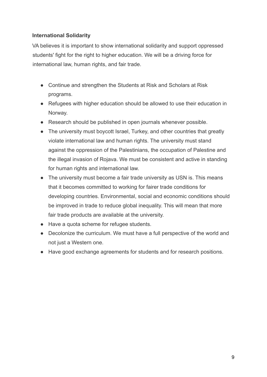### **International Solidarity**

VA believes it is important to show international solidarity and support oppressed students' fight for the right to higher education. We will be a driving force for international law, human rights, and fair trade.

- Continue and strengthen the Students at Risk and Scholars at Risk programs.
- Refugees with higher education should be allowed to use their education in Norway.
- Research should be published in open journals whenever possible.
- The university must boycott Israel, Turkey, and other countries that greatly violate international law and human rights. The university must stand against the oppression of the Palestinians, the occupation of Palestine and the illegal invasion of Rojava. We must be consistent and active in standing for human rights and international law.
- The university must become a fair trade university as USN is. This means that it becomes committed to working for fairer trade conditions for developing countries. Environmental, social and economic conditions should be improved in trade to reduce global inequality. This will mean that more fair trade products are available at the university.
- Have a quota scheme for refugee students.
- Decolonize the curriculum. We must have a full perspective of the world and not just a Western one.
- Have good exchange agreements for students and for research positions.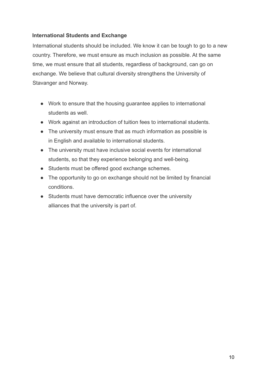### **International Students and Exchange**

International students should be included. We know it can be tough to go to a new country. Therefore, we must ensure as much inclusion as possible. At the same time, we must ensure that all students, regardless of background, can go on exchange. We believe that cultural diversity strengthens the University of Stavanger and Norway.

- Work to ensure that the housing guarantee applies to international students as well.
- Work against an introduction of tuition fees to international students.
- The university must ensure that as much information as possible is in English and available to international students.
- The university must have inclusive social events for international students, so that they experience belonging and well-being.
- Students must be offered good exchange schemes.
- The opportunity to go on exchange should not be limited by financial conditions.
- Students must have democratic influence over the university alliances that the university is part of.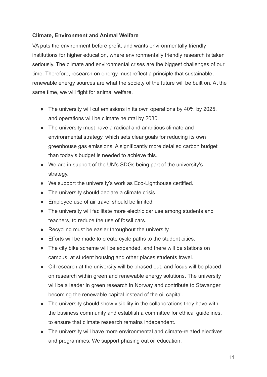### **Climate, Environment and Animal Welfare**

VA puts the environment before profit, and wants environmentally friendly institutions for higher education, where environmentally friendly research is taken seriously. The climate and environmental crises are the biggest challenges of our time. Therefore, research on energy must reflect a principle that sustainable, renewable energy sources are what the society of the future will be built on. At the same time, we will fight for animal welfare.

- The university will cut emissions in its own operations by 40% by 2025, and operations will be climate neutral by 2030.
- The university must have a radical and ambitious climate and environmental strategy, which sets clear goals for reducing its own greenhouse gas emissions. A significantly more detailed carbon budget than today's budget is needed to achieve this.
- We are in support of the UN's SDGs being part of the university's strategy.
- We support the university's work as Eco-Lighthouse certified.
- The university should declare a climate crisis.
- Employee use of air travel should be limited.
- The university will facilitate more electric car use among students and teachers, to reduce the use of fossil cars.
- Recycling must be easier throughout the university.
- Efforts will be made to create cycle paths to the student cities.
- The city bike scheme will be expanded, and there will be stations on campus, at student housing and other places students travel.
- Oil research at the university will be phased out, and focus will be placed on research within green and renewable energy solutions. The university will be a leader in green research in Norway and contribute to Stavanger becoming the renewable capital instead of the oil capital.
- The university should show visibility in the collaborations they have with the business community and establish a committee for ethical guidelines, to ensure that climate research remains independent.
- The university will have more environmental and climate-related electives and programmes. We support phasing out oil education.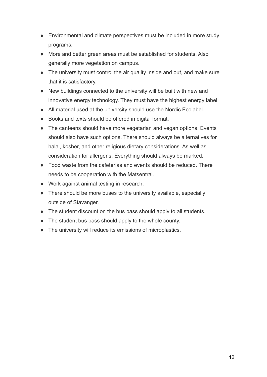- Environmental and climate perspectives must be included in more study programs.
- More and better green areas must be established for students. Also generally more vegetation on campus.
- The university must control the air quality inside and out, and make sure that it is satisfactory.
- New buildings connected to the university will be built with new and innovative energy technology. They must have the highest energy label.
- All material used at the university should use the Nordic Ecolabel.
- Books and texts should be offered in digital format.
- The canteens should have more vegetarian and vegan options. Events should also have such options. There should always be alternatives for halal, kosher, and other religious dietary considerations. As well as consideration for allergens. Everything should always be marked.
- Food waste from the cafeterias and events should be reduced. There needs to be cooperation with the Matsentral.
- Work against animal testing in research.
- There should be more buses to the university available, especially outside of Stavanger.
- The student discount on the bus pass should apply to all students.
- The student bus pass should apply to the whole county.
- The university will reduce its emissions of microplastics.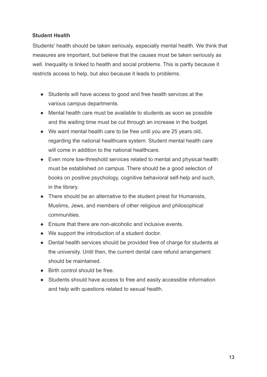### **Student Health**

Students' health should be taken seriously, especially mental health. We think that measures are important, but believe that the causes must be taken seriously as well. Inequality is linked to health and social problems. This is partly because it restricts access to help, but also because it leads to problems.

- Students will have access to good and free health services at the various campus departments.
- Mental health care must be available to students as soon as possible and the waiting time must be cut through an increase in the budget.
- We want mental health care to be free until you are 25 years old, regarding the national healthcare system. Student mental health care will come in addition to the national healthcare.
- Even more low-threshold services related to mental and physical health must be established on campus. There should be a good selection of books on positive psychology, cognitive behavioral self-help and such, in the library.
- There should be an alternative to the student priest for Humanists, Muslims, Jews, and members of other religious and philosophical communities.
- Ensure that there are non-alcoholic and inclusive events.
- We support the introduction of a student doctor.
- Dental health services should be provided free of charge for students at the university. Until then, the current dental care refund arrangement should be maintained.
- Birth control should be free.
- Students should have access to free and easily accessible information and help with questions related to sexual health.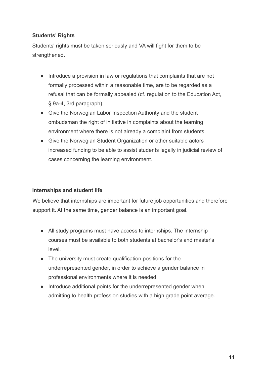### **Students' Rights**

Students' rights must be taken seriously and VA will fight for them to be strengthened.

- Introduce a provision in law or regulations that complaints that are not formally processed within a reasonable time, are to be regarded as a refusal that can be formally appealed (cf. regulation to the Education Act, § 9a-4, 3rd paragraph).
- Give the Norwegian Labor Inspection Authority and the student ombudsman the right of initiative in complaints about the learning environment where there is not already a complaint from students.
- Give the Norwegian Student Organization or other suitable actors increased funding to be able to assist students legally in judicial review of cases concerning the learning environment.

### **Internships and student life**

We believe that internships are important for future job opportunities and therefore support it. At the same time, gender balance is an important goal.

- All study programs must have access to internships. The internship courses must be available to both students at bachelor's and master's level.
- The university must create qualification positions for the underrepresented gender, in order to achieve a gender balance in professional environments where it is needed.
- Introduce additional points for the underrepresented gender when admitting to health profession studies with a high grade point average.